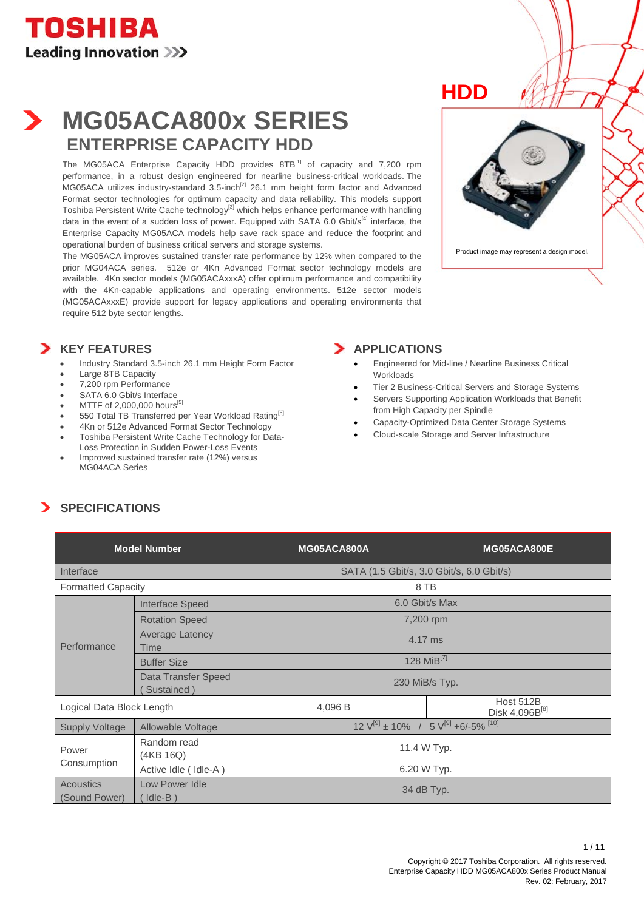## **MG05ACA800x SERIES ENTERPRISE CAPACITY HDD**

The MG05ACA Enterprise Capacity HDD provides 8TB<sup>[1]</sup> of capacity and 7.200 rpm performance, in a robust design engineered for nearline business-critical workloads. The .<br>MG05ACA utilizes industry-standard 3.5-inch<sup>[2]</sup> 26.1 mm height form factor and Advanced Format sector technologies for optimum capacity and data reliability. This models support Toshiba Persistent Write Cache technology<sup>[3]</sup> which helps enhance performance with handling data in the event of a sudden loss of power. Equipped with SATA 6.0 Gbit/ $s<sup>[4]</sup>$  interface, the Enterprise Capacity MG05ACA models help save rack space and reduce the footprint and operational burden of business critical servers and storage systems.

The MG05ACA improves sustained transfer rate performance by 12% when compared to the prior MG04ACA series. 512e or 4Kn Advanced Format sector technology models are available. 4Kn sector models (MG05ACAxxxA) offer optimum performance and compatibility with the 4Kn-capable applications and operating environments. 512e sector models (MG05ACAxxxE) provide support for legacy applications and operating environments that require 512 byte sector lengths.

#### **KEY FEATURES**

- Industry Standard 3.5-inch 26.1 mm Height Form Factor
- Large 8TB Capacity
- 7,200 rpm Performance
- SATA 6.0 Gbit/s Interface
- MTTF of 2,000,000 hours<sup>[5]</sup>
- 550 Total TB Transferred per Year Workload Rating<sup>[6]</sup>
- 4Kn or 512e Advanced Format Sector Technology
- Toshiba Persistent Write Cache Technology for Data-Loss Protection in Sudden Power-Loss Events
- Improved sustained transfer rate (12%) versus MG04ACA Series





Product image may represent a design model.

#### **APPLICATIONS**

- Engineered for Mid-line / Nearline Business Critical **Workloads**
- Tier 2 Business-Critical Servers and Storage Systems
- Servers Supporting Application Workloads that Benefit from High Capacity per Spindle
- Capacity-Optimized Data Center Storage Systems
- Cloud-scale Storage and Server Infrastructure

### **SPECIFICATIONS**

| <b>Model Number</b>                        |                                   | MG05ACA800A                                                         | MG05ACA800E                             |  |  |
|--------------------------------------------|-----------------------------------|---------------------------------------------------------------------|-----------------------------------------|--|--|
| Interface                                  |                                   | SATA (1.5 Gbit/s, 3.0 Gbit/s, 6.0 Gbit/s)                           |                                         |  |  |
| <b>Formatted Capacity</b>                  |                                   | 8 TB                                                                |                                         |  |  |
| <b>Interface Speed</b>                     |                                   | 6.0 Gbit/s Max                                                      |                                         |  |  |
|                                            | <b>Rotation Speed</b>             | 7,200 rpm                                                           |                                         |  |  |
| Performance                                | <b>Average Latency</b><br>Time    | 4.17 ms                                                             |                                         |  |  |
|                                            | <b>Buffer Size</b>                | 128 MiB <sup>[7]</sup>                                              |                                         |  |  |
|                                            | Data Transfer Speed<br>Sustained) | 230 MiB/s Typ.                                                      |                                         |  |  |
| Logical Data Block Length                  |                                   | 4,096 B                                                             | Host 512B<br>Disk 4,096B <sup>[8]</sup> |  |  |
| <b>Supply Voltage</b><br>Allowable Voltage |                                   | $12 \text{ V}^{[9]} \pm 10\%$ / 5 $\text{V}^{[9]}$ +6/-5% $^{[10]}$ |                                         |  |  |
| Power                                      | Random read<br>(4KB 16Q)          | 11.4 W Typ.                                                         |                                         |  |  |
| Consumption                                | Active Idle (Idle-A)              | 6.20 W Typ.                                                         |                                         |  |  |
| Acoustics<br>(Sound Power)                 | Low Power Idle<br>$Idle-B$ )      | 34 dB Typ.                                                          |                                         |  |  |

 $1 / 11$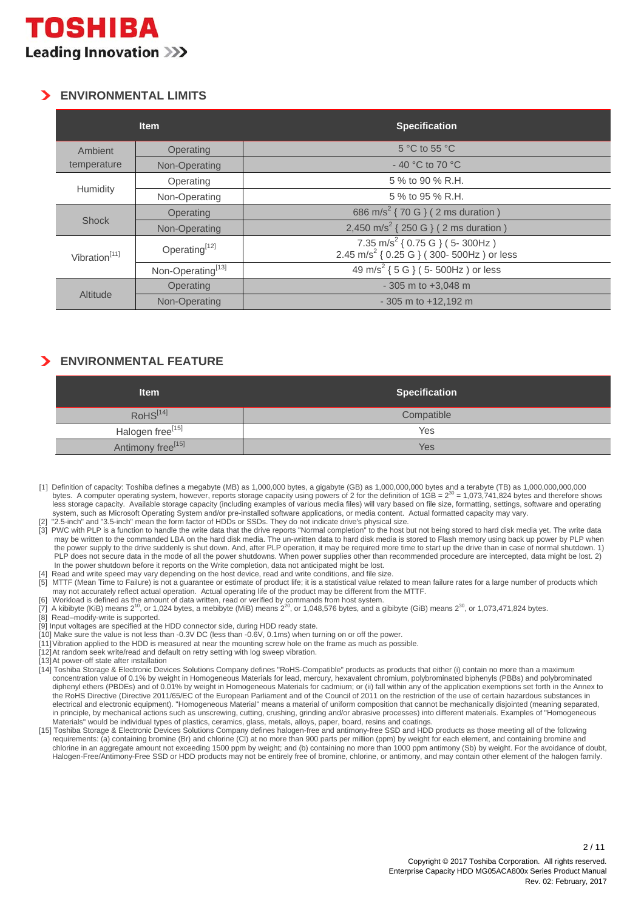### **ENVIRONMENTAL LIMITS**

| <b>Item</b>               |                               | <b>Specification</b>                                                                                   |
|---------------------------|-------------------------------|--------------------------------------------------------------------------------------------------------|
| Ambient                   | Operating                     | $5^{\circ}$ C to 55 $^{\circ}$ C                                                                       |
| temperature               | Non-Operating                 | $-40$ °C to 70 °C                                                                                      |
|                           | Operating                     | 5 % to 90 % R.H.                                                                                       |
| Humidity                  | Non-Operating                 | 5 % to 95 % R.H.                                                                                       |
|                           | Operating                     | 686 m/s <sup>2</sup> { 70 G } ( 2 ms duration )                                                        |
| <b>Shock</b>              | Non-Operating                 | 2,450 m/s <sup>2</sup> { 250 G } ( 2 ms duration )                                                     |
| Vibration <sup>[11]</sup> | Operating <sup>[12]</sup>     | 7.35 m/s <sup>2</sup> { 0.75 G } (5- 300Hz )<br>2.45 m/s <sup>2</sup> { 0.25 G } (300- 500Hz ) or less |
|                           | Non-Operating <sup>[13]</sup> | 49 m/s <sup>2</sup> { 5 G } ( 5- 500Hz ) or less                                                       |
| Altitude                  | Operating                     | $-305$ m to $+3,048$ m                                                                                 |
|                           | Non-Operating                 | $-305$ m to $+12.192$ m                                                                                |

### **ENVIRONMENTAL FEATURE**

| <b>Item</b>                   | <b>Specification</b> |  |
|-------------------------------|----------------------|--|
| RoHS <sup>[14]</sup>          | Compatible           |  |
| Halogen free <sup>[15]</sup>  | Yes                  |  |
| Antimony free <sup>[15]</sup> | Yes                  |  |

<sup>[1]</sup> Definition of capacity: Toshiba defines a megabyte (MB) as 1,000,000 bytes, a gigabyte (GB) as 1,000,000,000 bytes and a terabyte (TB) as 1,000,000,000,000 bytes. A computer operating system, however, reports storage capacity using powers of 2 for the definition of 1GB = 230 = 1,073,741,824 bytes and therefore shows less storage capacity. Available storage capacity (including examples of various media files) will vary based on file size, formatting, settings, software and operating system, such as Microsoft Operating System and/or pre-installed software applications, or media content. Actual formatted capacity may vary. "2.5-inch" and "3.5-inch" mean the form factor of HDDs or SSDs. They do not indicate drive's physical size.

- [3] PWC with PLP is a function to handle the write data that the drive reports "Normal completion" to the host but not being stored to hard disk media yet. The write data may be written to the commanded LBA on the hard disk media. The un-written data to hard disk media is stored to Flash memory using back up power by PLP when the power supply to the drive suddenly is shut down. And, after PLP operation, it may be required more time to start up the drive than in case of normal shutdown. 1) PLP does not secure data in the mode of all the power shutdowns. When power supplies other than recommended procedure are intercepted, data might be lost. 2) In the power shutdown before it reports on the Write completion, data not anticipated might be lost.
- Read and write speed may vary depending on the host device, read and write conditions, and file size.
- MTTF (Mean Time to Failure) is not a guarantee or estimate of product life; it is a statistical value related to mean failure rates for a large number of products which may not accurately reflect actual operation. Actual operating life of the product may be different from the MTTF.
- 
- [6] Workload is defined as the amount of data written, read or verified by commands from host system.<br>[7] A kibibyte (KiB) means 2<sup>10</sup>, or 1,024 bytes, a mebibyte (MiB) means 2<sup>20</sup>, or 1,048,576 bytes, and a gibibyte (Gi
- [8] Read-modify-write is supported.
- [9] Input voltages are specified at the HDD connector side, during HDD ready state.
- [10] Make sure the value is not less than -0.3V DC (less than -0.6V, 0.1ms) when turning on or off the power.
- [11] Vibration applied to the HDD is measured at near the mounting screw hole on the frame as much as possible.
- [12] At random seek write/read and default on retry setting with log sweep vibration.
- [13] At power-off state after installation
- [14] Toshiba Storage & Electronic Devices Solutions Company defines "RoHS-Compatible" products as products that either (i) contain no more than a maximum concentration value of 0.1% by weight in Homogeneous Materials for lead, mercury, hexavalent chromium, polybrominated biphenyls (PBBs) and polybrominated diphenyl ethers (PBDEs) and of 0.01% by weight in Homogeneous Materials for cadmium; or (ii) fall within any of the application exemptions set forth in the Annex to the RoHS Directive (Directive 2011/65/EC of the European Parliament and of the Council of 2011 on the restriction of the use of certain hazardous substances in electrical and electronic equipment). "Homogeneous Material" means a material of uniform composition that cannot be mechanically disjointed (meaning separated, in principle, by mechanical actions such as unscrewing, cutting, crushing, grinding and/or abrasive processes) into different materials. Examples of "Homogeneous Materials" would be individual types of plastics, ceramics, glass, metals, alloys, paper, board, resins and coatings.
- [15] Toshiba Storage & Electronic Devices Solutions Company defines halogen-free and antimony-free SSD and HDD products as those meeting all of the following requirements: (a) containing bromine (Br) and chlorine (Cl) at no more than 900 parts per million (ppm) by weight for each element, and containing bromine and chlorine in an aggregate amount not exceeding 1500 ppm by weight; and (b) containing no more than 1000 ppm antimony (Sb) by weight. For the avoidance of doubt, Halogen-Free/Antimony-Free SSD or HDD products may not be entirely free of bromine, chlorine, or antimony, and may contain other element of the halogen family.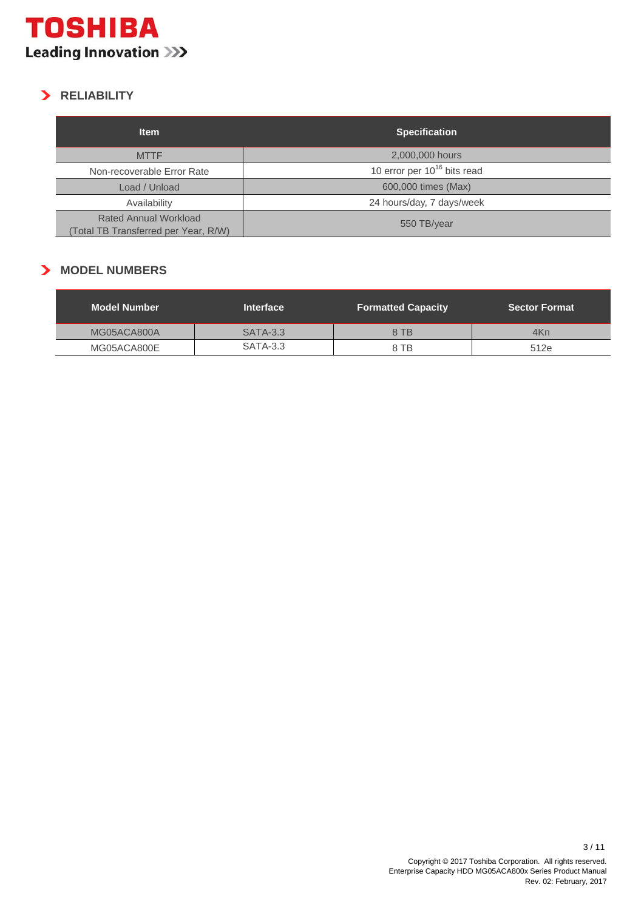

## **RELIABILITY**

| <b>Item</b>                                                          | <b>Specification</b>             |  |
|----------------------------------------------------------------------|----------------------------------|--|
| <b>MTTF</b>                                                          | 2,000,000 hours                  |  |
| Non-recoverable Error Rate                                           | 10 error per $10^{16}$ bits read |  |
| Load / Unload                                                        | 600,000 times (Max)              |  |
| Availability                                                         | 24 hours/day, 7 days/week        |  |
| <b>Rated Annual Workload</b><br>(Total TB Transferred per Year, R/W) | 550 TB/year                      |  |

#### **MODEL NUMBERS**

| <b>Model Number</b> | <b>Interface</b> | <b>Formatted Capacity</b> | <b>Sector Format</b> |
|---------------------|------------------|---------------------------|----------------------|
| MG05ACA800A         | <b>SATA-3.3</b>  | 8 TB                      | 4Kn                  |
| MG05ACA800E         | <b>SATA-3.3</b>  | 8 TB                      | 512e                 |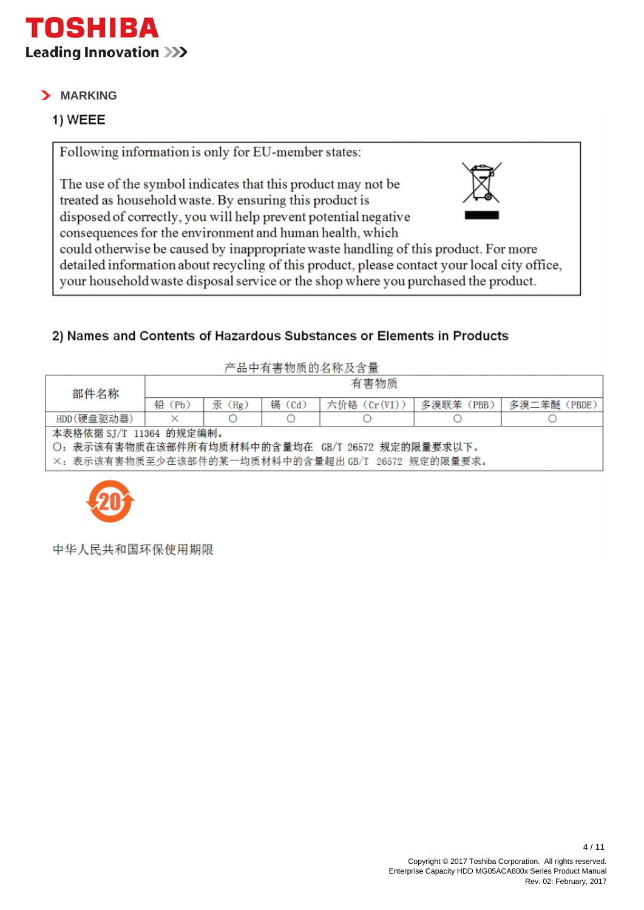

## **MARKING**

## 1) WEEE

Following information is only for EU-member states:

The use of the symbol indicates that this product may not be treated as household waste. By ensuring this product is disposed of correctly, you will help prevent potential negative



consequences for the environment and human health, which could otherwise be caused by inappropriate waste handling of this product. For more detailed information about recycling of this product, please contact your local city office, your household waste disposal service or the shop where you purchased the product.

## 2) Names and Contents of Hazardous Substances or Elements in Products

| 产品中有害物质的名称及含量                                    |           |       |        |              |           |             |
|--------------------------------------------------|-----------|-------|--------|--------------|-----------|-------------|
| 部件名称                                             | 有害物质      |       |        |              |           |             |
|                                                  | 铅<br>(Pb) | 汞(Hg) | 镉 (Cd) | 六价铬 (Cr(VI)) | 多溴联苯(PBB) | 多溴二苯醚(PBDE) |
| HDD(硬盘驱动器)                                       | ×         |       |        |              |           |             |
| 本表格依据 SJ/T 11364 的规定编制。                          |           |       |        |              |           |             |
| O: 表示该有害物质在该部件所有均质材料中的含量均在 GB/T 26572 规定的限量要求以下。 |           |       |        |              |           |             |
| ×:表示该有害物质至少在该部件的某一均质材料中的含量超出 GB/T 26572 规定的限量要求。 |           |       |        |              |           |             |



中华人民共和国环保使用期限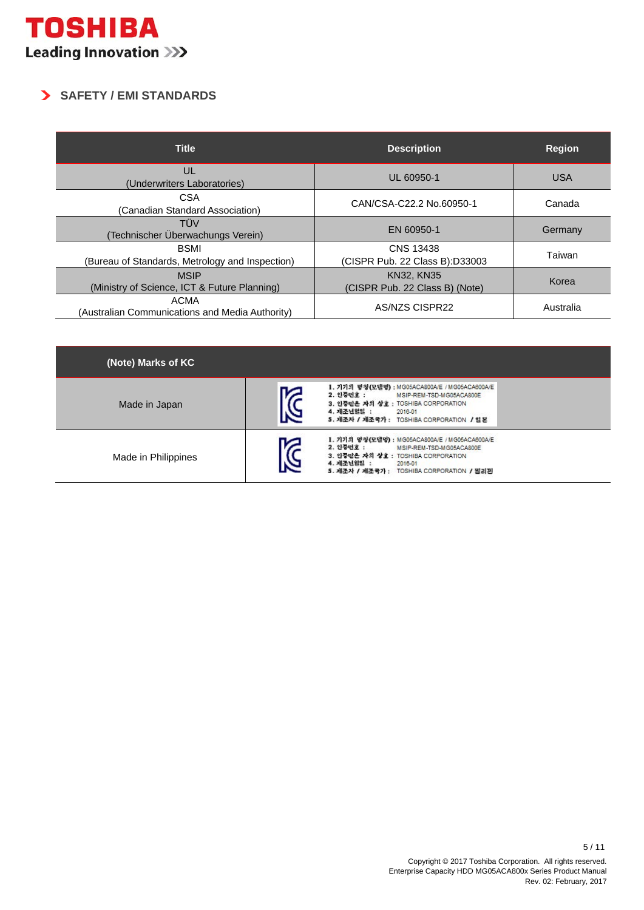## **SAFETY / EMI STANDARDS**

| <b>Title</b>                                                   | <b>Description</b>                                  | <b>Region</b> |
|----------------------------------------------------------------|-----------------------------------------------------|---------------|
| UL<br>(Underwriters Laboratories)                              | UL 60950-1                                          | <b>USA</b>    |
| <b>CSA</b><br>(Canadian Standard Association)                  | CAN/CSA-C22.2 No.60950-1                            | Canada        |
| TÜV<br>Technischer Überwachungs Verein)                        | EN 60950-1                                          | Germany       |
| <b>BSMI</b><br>(Bureau of Standards, Metrology and Inspection) | <b>CNS 13438</b><br>(CISPR Pub. 22 Class B):D33003  | Taiwan        |
| <b>MSIP</b><br>(Ministry of Science, ICT & Future Planning)    | <b>KN32, KN35</b><br>(CISPR Pub. 22 Class B) (Note) | Korea         |
| <b>ACMA</b><br>(Australian Communications and Media Authority) | AS/NZS CISPR22                                      | Australia     |

| (Note) Marks of KC  |   |                                                                                                                                                                                                      |  |
|---------------------|---|------------------------------------------------------------------------------------------------------------------------------------------------------------------------------------------------------|--|
| Made in Japan       | 区 | 1. 기기의 명청(모델명) : MG05ACA800A/E / MG05ACA800A/E<br>2. 인증면호 :<br>MSIP-REM-TSD-MG05ACA800E<br>3. 인증받은 자의 상호 : TOSHIBA CORPORATION<br>4. 제조년일일 :<br>2016-01<br>5. 제조자 / 제조국가: TOSHIBA CORPORATION / 일본   |  |
| Made in Philippines | 씾 | 1. 기기의 명청(모델명) : MG05ACA800A/E / MG05ACA800A/E<br>2. 인증번호 :<br>MSIP-REM-TSD-MG05ACA800E<br>3. 인증받은 자의 상호 : TOSHIBA CORPORATION<br>4. 제조년일일 :<br>2016-01<br>5. 제조자 / 제조국가 : TOSHIBA CORPORATION / 필리핀 |  |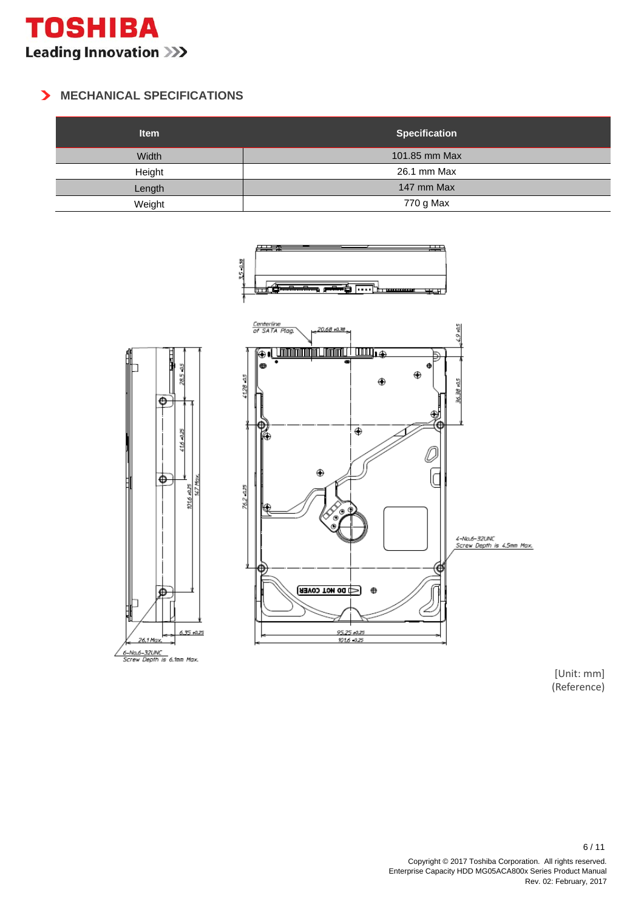

#### **MECHANICAL SPECIFICATIONS**

| <b>Item</b> | <b>Specification</b> |
|-------------|----------------------|
| Width       | 101.85 mm Max        |
| Height      | 26.1 mm Max          |
| Length      | 147 mm Max           |
| Weight      | 770 g Max            |



[Unit: mm] (Reference)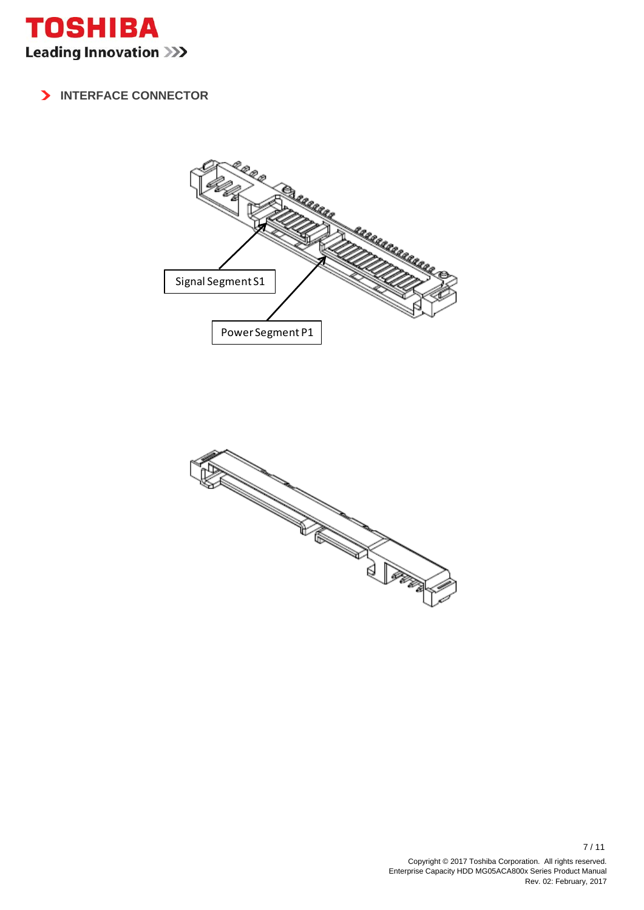

### **INTERFACE CONNECTOR**



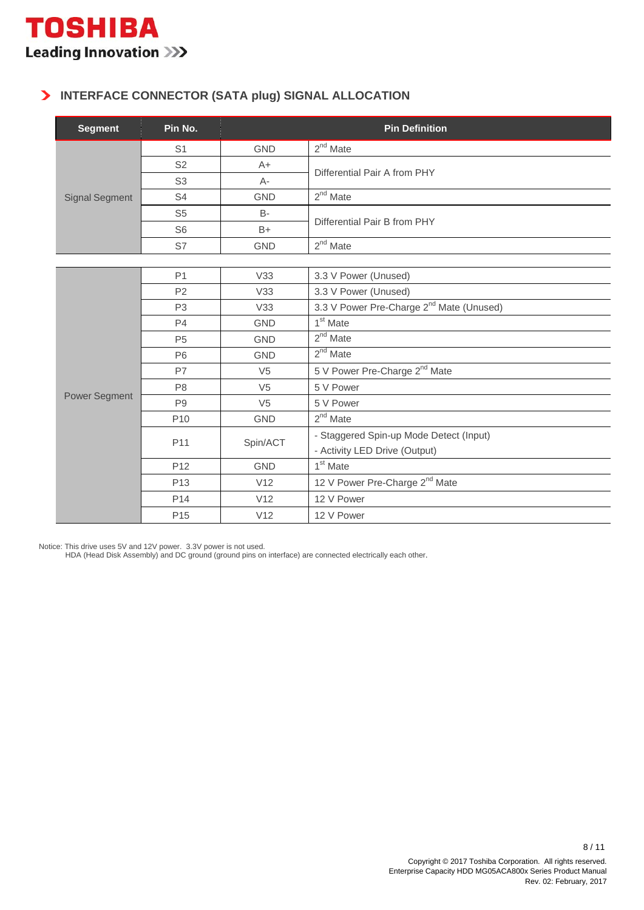### **INTERFACE CONNECTOR (SATA plug) SIGNAL ALLOCATION**

| <b>Segment</b>        | Pin No.         | <b>Pin Definition</b> |                                                      |  |  |
|-----------------------|-----------------|-----------------------|------------------------------------------------------|--|--|
|                       | S <sub>1</sub>  | <b>GND</b>            | $2nd$ Mate                                           |  |  |
|                       | S <sub>2</sub>  | $A+$                  | Differential Pair A from PHY                         |  |  |
|                       | S <sub>3</sub>  | $A -$                 |                                                      |  |  |
| <b>Signal Segment</b> | S <sub>4</sub>  | <b>GND</b>            | $2^{nd}$ Mate                                        |  |  |
|                       | S <sub>5</sub>  | <b>B-</b>             | Differential Pair B from PHY                         |  |  |
|                       | S <sub>6</sub>  | $B+$                  |                                                      |  |  |
|                       | S7              | <b>GND</b>            | $2nd$ Mate                                           |  |  |
|                       |                 |                       |                                                      |  |  |
|                       | P <sub>1</sub>  | V33                   | 3.3 V Power (Unused)                                 |  |  |
|                       | P <sub>2</sub>  | V33                   | 3.3 V Power (Unused)                                 |  |  |
|                       | P <sub>3</sub>  | V33                   | 3.3 V Power Pre-Charge 2 <sup>nd</sup> Mate (Unused) |  |  |
|                       | P <sub>4</sub>  | <b>GND</b>            | 1 <sup>st</sup> Mate                                 |  |  |
|                       | P <sub>5</sub>  | <b>GND</b>            | $2nd$ Mate                                           |  |  |
|                       | P <sub>6</sub>  | <b>GND</b>            | $2nd$ Mate                                           |  |  |
|                       | P7              | V <sub>5</sub>        | 5 V Power Pre-Charge 2 <sup>nd</sup> Mate            |  |  |
|                       | P <sub>8</sub>  | V <sub>5</sub>        | 5 V Power                                            |  |  |
| <b>Power Segment</b>  | P <sub>9</sub>  | V <sub>5</sub>        | 5 V Power                                            |  |  |
|                       | P <sub>10</sub> | <b>GND</b>            | $2nd$ Mate                                           |  |  |
|                       | P <sub>11</sub> |                       | - Staggered Spin-up Mode Detect (Input)              |  |  |
|                       |                 | Spin/ACT              | - Activity LED Drive (Output)                        |  |  |
|                       | P <sub>12</sub> | <b>GND</b>            | 1 <sup>st</sup> Mate                                 |  |  |
|                       | P <sub>13</sub> | V12                   | 12 V Power Pre-Charge 2 <sup>nd</sup> Mate           |  |  |
|                       | P <sub>14</sub> | V12                   | 12 V Power                                           |  |  |
|                       | P <sub>15</sub> | V12                   | 12 V Power                                           |  |  |

Notice: This drive uses 5V and 12V power. 3.3V power is not used.

HDA (Head Disk Assembly) and DC ground (ground pins on interface) are connected electrically each other.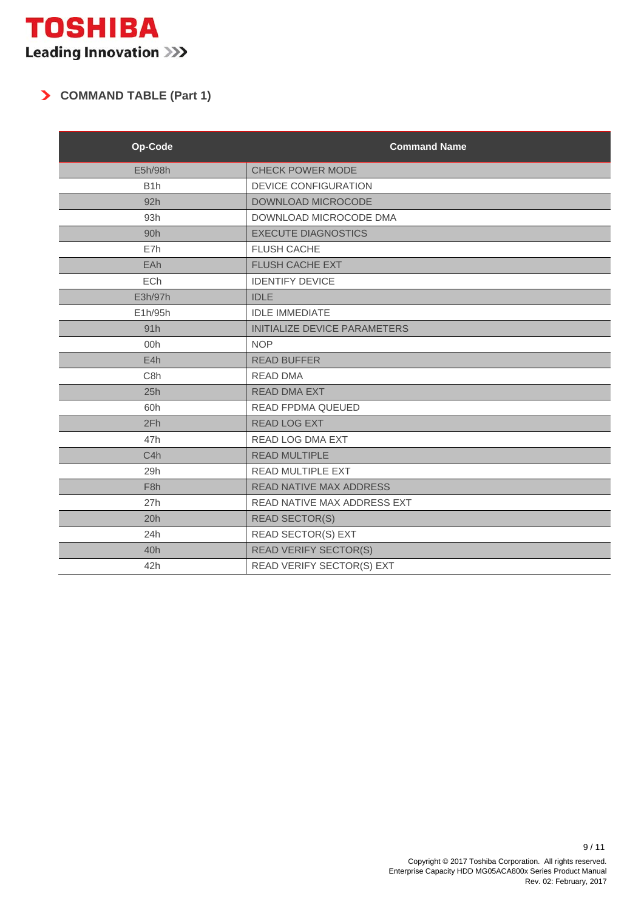## **COMMAND TABLE (Part 1)**

| Op-Code          | <b>Command Name</b>            |  |
|------------------|--------------------------------|--|
| E5h/98h          | <b>CHECK POWER MODE</b>        |  |
| B <sub>1</sub> h | <b>DEVICE CONFIGURATION</b>    |  |
| 92h              | DOWNLOAD MICROCODE             |  |
| 93h              | DOWNLOAD MICROCODE DMA         |  |
| 90h              | <b>EXECUTE DIAGNOSTICS</b>     |  |
| E7h              | <b>FLUSH CACHE</b>             |  |
| EAh              | FLUSH CACHE EXT                |  |
| <b>ECh</b>       | <b>IDENTIFY DEVICE</b>         |  |
| E3h/97h          | <b>IDLE</b>                    |  |
| E1h/95h          | <b>IDLE IMMEDIATE</b>          |  |
| 91h              | INITIALIZE DEVICE PARAMETERS   |  |
| 00h              | <b>NOP</b>                     |  |
| E4h              | <b>READ BUFFER</b>             |  |
| C <sub>8</sub> h | <b>READ DMA</b>                |  |
| 25h              | <b>READ DMA EXT</b>            |  |
| 60h              | <b>READ FPDMA QUEUED</b>       |  |
| 2Fh              | <b>READ LOG EXT</b>            |  |
| 47h              | READ LOG DMA EXT               |  |
| C4h              | <b>READ MULTIPLE</b>           |  |
| 29h              | READ MULTIPLE EXT              |  |
| F <sub>8h</sub>  | <b>READ NATIVE MAX ADDRESS</b> |  |
| 27h              | READ NATIVE MAX ADDRESS EXT    |  |
| 20h              | <b>READ SECTOR(S)</b>          |  |
| 24h              | READ SECTOR(S) EXT             |  |
| 40h              | <b>READ VERIFY SECTOR(S)</b>   |  |
| 42h              | READ VERIFY SECTOR(S) EXT      |  |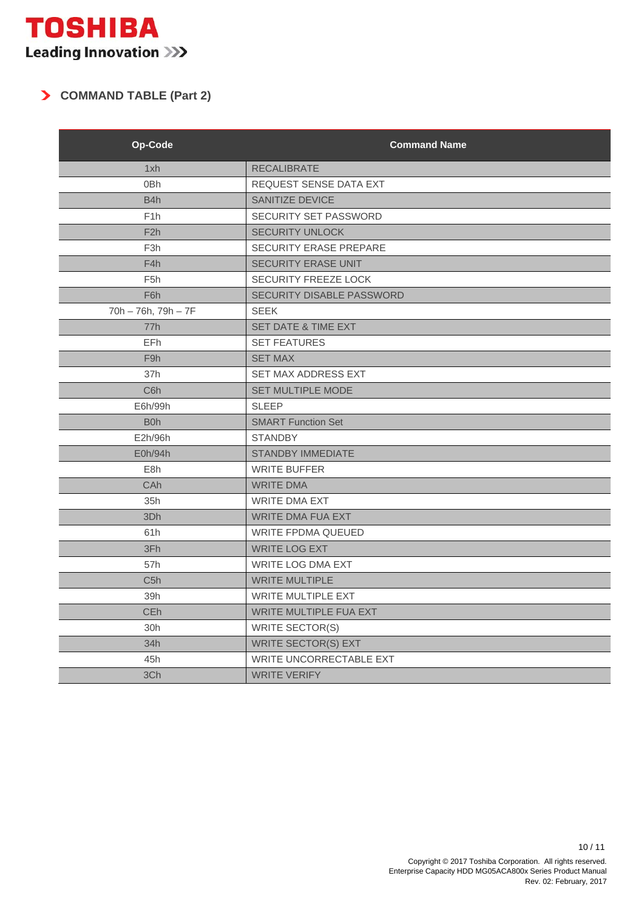## **COMMAND TABLE (Part 2)**

| Op-Code             | <b>Command Name</b>            |  |  |
|---------------------|--------------------------------|--|--|
| 1xh                 | <b>RECALIBRATE</b>             |  |  |
| 0 <sub>Bh</sub>     | REQUEST SENSE DATA EXT         |  |  |
| B4h                 | SANITIZE DEVICE                |  |  |
| F <sub>1</sub> h    | SECURITY SET PASSWORD          |  |  |
| F <sub>2</sub> h    | <b>SECURITY UNLOCK</b>         |  |  |
| F <sub>3h</sub>     | <b>SECURITY ERASE PREPARE</b>  |  |  |
| F4h                 | <b>SECURITY ERASE UNIT</b>     |  |  |
| F <sub>5</sub> h    | <b>SECURITY FREEZE LOCK</b>    |  |  |
| F6h                 | SECURITY DISABLE PASSWORD      |  |  |
| 70h - 76h, 79h - 7F | <b>SEEK</b>                    |  |  |
| 77h                 | SET DATE & TIME EXT            |  |  |
| <b>EFh</b>          | <b>SET FEATURES</b>            |  |  |
| F <sub>9</sub> h    | <b>SET MAX</b>                 |  |  |
| 37h                 | SET MAX ADDRESS EXT            |  |  |
| C <sub>6</sub> h    | SET MULTIPLE MODE              |  |  |
| E6h/99h             | <b>SLEEP</b>                   |  |  |
| B <sub>0</sub> h    | <b>SMART Function Set</b>      |  |  |
| E2h/96h             | <b>STANDBY</b>                 |  |  |
| E0h/94h             | <b>STANDBY IMMEDIATE</b>       |  |  |
| E8h                 | <b>WRITE BUFFER</b>            |  |  |
| CAh                 | <b>WRITE DMA</b>               |  |  |
| 35h                 | <b>WRITE DMA EXT</b>           |  |  |
| 3Dh                 | <b>WRITE DMA FUA EXT</b>       |  |  |
| 61h                 | <b>WRITE FPDMA QUEUED</b>      |  |  |
| 3Fh                 | <b>WRITE LOG EXT</b>           |  |  |
| 57h                 | <b>WRITE LOG DMA EXT</b>       |  |  |
| C <sub>5</sub> h    | <b>WRITE MULTIPLE</b>          |  |  |
| 39h                 | <b>WRITE MULTIPLE EXT</b>      |  |  |
| <b>CEh</b>          | WRITE MULTIPLE FUA EXT         |  |  |
| 30h                 | <b>WRITE SECTOR(S)</b>         |  |  |
| 34h                 | <b>WRITE SECTOR(S) EXT</b>     |  |  |
| 45h                 | <b>WRITE UNCORRECTABLE EXT</b> |  |  |
| 3Ch                 | <b>WRITE VERIFY</b>            |  |  |